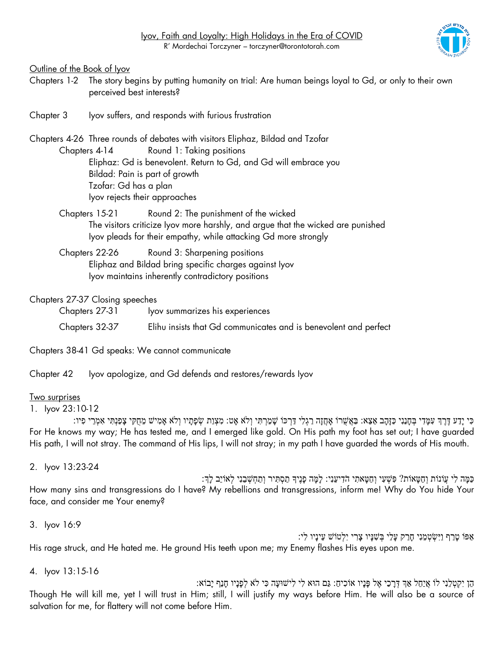Outline of the Book of Iyov

- Chapters 1-2 The story begins by putting humanity on trial: Are human beings loyal to Gd, or only to their own perceived best interests?
- Chapter 3 Iyov suffers, and responds with furious frustration

Chapters 4-26 Three rounds of debates with visitors Eliphaz, Bildad and Tzofar Chapters 4-14 Round 1: Taking positions Eliphaz: Gd is benevolent. Return to Gd, and Gd will embrace you Bildad: Pain is part of growth

> Tzofar: Gd has a plan Iyov rejects their approaches

Chapters 15-21 Round 2: The punishment of the wicked The visitors criticize Iyov more harshly, and argue that the wicked are punished Iyov pleads for their empathy, while attacking Gd more strongly

Chapters 22-26 Round 3: Sharpening positions Eliphaz and Bildad bring specific charges against Iyov Iyov maintains inherently contradictory positions

Chapters 27-37 Closing speeches

| Chapters 27-31 | lyov summarizes his experiences                                  |
|----------------|------------------------------------------------------------------|
| Chapters 32-37 | Elihu insists that Gd communicates and is benevolent and perfect |

Chapters 38-41 Gd speaks: We cannot communicate

Chapter 42 Iyov apologize, and Gd defends and restores/rewards Iyov

## Two surprises

1. Iyov 23:10-12

כִּי יַדַע דֵּרֵךְ עִמַּדִי בְחַנַנִי כַּזַּהַב אֵצֵא: בַּאֲשֶׁרוֹ אַחֲזַה רַגִלִי דַּרְכּוֹ שַׁמַרְתִּי וְלֹא אַט: מִצְוַת שְׂפָּתַיו וְלֹא אַמִישׁ מֵחָקִי צָפַנְתִּי אִמְרֵי פִיו: For He knows my way; He has tested me, and I emerged like gold. On His path my foot has set out; I have guarded His path, I will not stray. The command of His lips, I will not stray; in my path I have guarded the words of His mouth.

2. Iyov 13:23-24

ْ כַּמֵּה לִי עֲוֹנוֹת וְחַטַּאוֹת? פִּשְׁעִי וְחַטַּאתִי הֹדִיעֵנְי: לַמֵּה פָּנֵיִךְ תַסְתִּיר וְתַחָשְׁבֵנִי לְּאוֹיֵב לַךְ How many sins and transgressions do I have? My rebellions and transgressions, inform me! Why do You hide Your face, and consider me Your enemy?

```
3. Iyov 16:9
```
אַ פֹו טָ רַ ף וַיִּשְּ טְּ מֵ נִּי חָרַ ק עָלַי בְּ שִּ נָיו צָ רִּ י יִּלְּטֹוש עֵינָיו לִּי: His rage struck, and He hated me. He ground His teeth upon me; my Enemy flashes His eyes upon me.

4. Iyov 13:15-16

הֵן יִּקְּ טְּ לֵנִּי לֹו אֲיַחֵל אַ ְך דְּ רָ כַי אֶּ ל פָנָיו אֹוכִּ יח:ַ גַם הּוא לִּי לִּישּועָה כִּ י לֹ א לְּפָנָיו חָנֵף יָבֹוא: Though He will kill me, yet I will trust in Him; still, I will justify my ways before Him. He will also be a source of salvation for me, for flattery will not come before Him.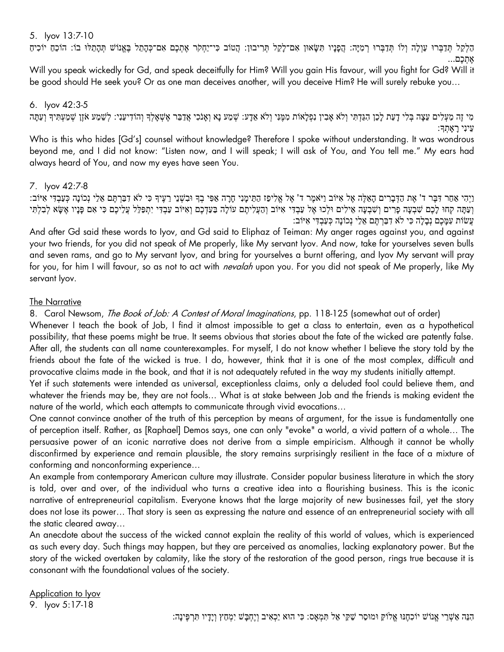#### 5. Iyov 13:7-10

הַלְקֵל תְּדַבְּרוּ עַוְלָה וְלֹו תְּדַבְּרוּ רְמִיָּה: הֲפָנָיו תִּשָׂאוּן אִם־לָקֵל תְּרִיבוּן: הֲטוֹב כִּי־יַחְקֹר אֶתְכֶם אִם־כְּהָתֵל בֶּאֱנוֹשׁ תְּהָתֵלוּ בוֹ: הוֹכֵחַ יוֹכִיחַ אֶּ תְּ כֶּם...

Will you speak wickedly for Gd, and speak deceitfully for Him? Will you gain His favour, will you fight for Gd? Will it be good should He seek you? Or as one man deceives another, will you deceive Him? He will surely rebuke you…

## 6. Iyov 42:3-5

מי זַה מַעלים עֵצַה בִּלִי דַעַת לַכֵן הִגַּדְתִּי וְלֹא אָבִין נִפְלָאוֹת מִמֶּנִי וְלֹא אֵדָע: שְׁמַע נָא וְאָנֹכִי אֲדַבֵּר אֶשְׁאָלְךָּ וְהוֹדִיעֵנִי: לְשֵׁמַע אֹזֶן שְׁמַעְתִּיךָ וְעַתָּה עֵינִּי רָ אָ תְּ ָך:

Who is this who hides [Gd's] counsel without knowledge? Therefore I spoke without understanding. It was wondrous beyond me, and I did not know: "Listen now, and I will speak; I will ask of You, and You tell me." My ears had always heard of You, and now my eyes have seen You.

## 7. Iyov 42:7-8

וַיְהִי אַחַר דָּבֶר ד' אֶת הַדָּבַרִים הַאֱלֶה אֱל אִיּוֹב וַיֹּאמֶר ד' אֱל אֱלִיפָז הַתֵּימֲנִי חֲרָה אָפִּי בְדָּ וּבְשָׁנֵי רֵעֵיךָ כִּי לֹא דְבַרְתֵּם אֱלֵי נְכוֹנַה כְּעֲבְדִּי אִיּוֹב: וְעַתָּה קְחוּ לָכֶם שִׁבְעָה פָרִים וְשִׁבְעָה אֵילִים וּלְכוּ אֶל עַבְדִּי אִיּוֹב וְהַעֲלִיתֶם עוֹלָה בַּעַדְכֶם וְאִיּוֹב עַבְדִּי יִתְפַּלֵּל עֲלֵיכֶם כִּי אִם פָּנָיו אֶשָּׂא לְבָלְתִּי עֲשֹות עִּ מָ כֶּם נְּבָלָה כִּ י לֹא דִּ בַרְּ תֶּ ם אֵ לַי נְּכֹונָה כְּ עַבְּ דִּ י אִּ יֹוב:

And after Gd said these words to Iyov, and Gd said to Eliphaz of Teiman: My anger rages against you, and against your two friends, for you did not speak of Me properly, like My servant Iyov. And now, take for yourselves seven bulls and seven rams, and go to My servant Iyov, and bring for yourselves a burnt offering, and Iyov My servant will pray for you, for him I will favour, so as not to act with *nevalah* upon you. For you did not speak of Me properly, like My servant Iyov.

#### The Narrative

8. Carol Newsom, *The Book of Job: A Contest of Moral Imaginations*, pp. 118-125 (somewhat out of order)

Whenever I teach the book of Job, I find it almost impossible to get a class to entertain, even as a hypothetical possibility, that these poems might be true. It seems obvious that stories about the fate of the wicked are patently false. After all, the students can all name counterexamples. For myself, I do not know whether I believe the story told by the friends about the fate of the wicked is true. I do, however, think that it is one of the most complex, difficult and provocative claims made in the book, and that it is not adequately refuted in the way my students initially attempt.

Yet if such statements were intended as universal, exceptionless claims, only a deluded fool could believe them, and whatever the friends may be, they are not fools… What is at stake between Job and the friends is making evident the nature of the world, which each attempts to communicate through vivid evocations…

One cannot convince another of the truth of this perception by means of argument, for the issue is fundamentally one of perception itself. Rather, as [Raphael] Demos says, one can only "evoke" a world, a vivid pattern of a whole… The persuasive power of an iconic narrative does not derive from a simple empiricism. Although it cannot be wholly disconfirmed by experience and remain plausible, the story remains surprisingly resilient in the face of a mixture of conforming and nonconforming experience…

An example from contemporary American culture may illustrate. Consider popular business literature in which the story is told, over and over, of the individual who turns a creative idea into a flourishing business. This is the iconic narrative of entrepreneurial capitalism. Everyone knows that the large majority of new businesses fail, yet the story does not lose its power… That story is seen as expressing the nature and essence of an entrepreneurial society with all the static cleared away…

An anecdote about the success of the wicked cannot explain the reality of this world of values, which is experienced as such every day. Such things may happen, but they are perceived as anomalies, lacking explanatory power. But the story of the wicked overtaken by calamity, like the story of the restoration of the good person, rings true because it is consonant with the foundational values of the society.

Application to Iyov 9. Iyov 5:17-18